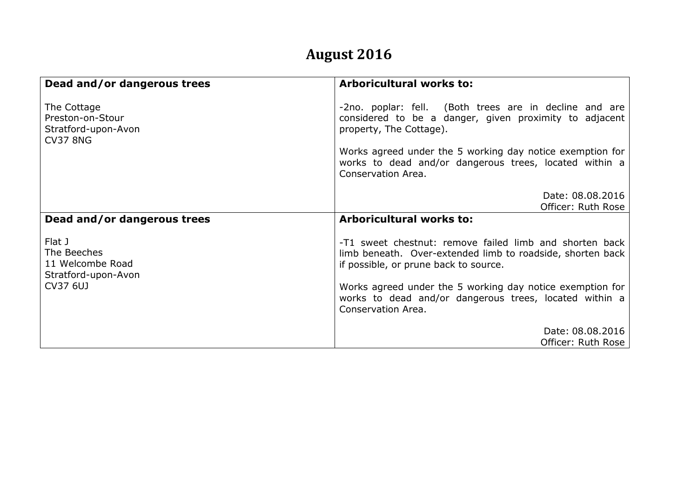## **August 2016**

| Dead and/or dangerous trees                                                  | <b>Arboricultural works to:</b>                                                                                                                                                                                                                                                          |
|------------------------------------------------------------------------------|------------------------------------------------------------------------------------------------------------------------------------------------------------------------------------------------------------------------------------------------------------------------------------------|
| The Cottage<br>Preston-on-Stour<br>Stratford-upon-Avon<br><b>CV37 8NG</b>    | -2no. poplar: fell. (Both trees are in decline and are<br>considered to be a danger, given proximity to adjacent<br>property, The Cottage).<br>Works agreed under the 5 working day notice exemption for<br>works to dead and/or dangerous trees, located within a<br>Conservation Area. |
| Dead and/or dangerous trees                                                  | Date: 08.08.2016<br>Officer: Ruth Rose<br><b>Arboricultural works to:</b>                                                                                                                                                                                                                |
| Flat J<br>The Beeches<br>11 Welcombe Road<br>Stratford-upon-Avon<br>CV37 6UJ | -T1 sweet chestnut: remove failed limb and shorten back<br>limb beneath. Over-extended limb to roadside, shorten back<br>if possible, or prune back to source.                                                                                                                           |
|                                                                              | Works agreed under the 5 working day notice exemption for<br>works to dead and/or dangerous trees, located within a<br>Conservation Area.                                                                                                                                                |
|                                                                              | Date: 08.08.2016<br>Officer: Ruth Rose                                                                                                                                                                                                                                                   |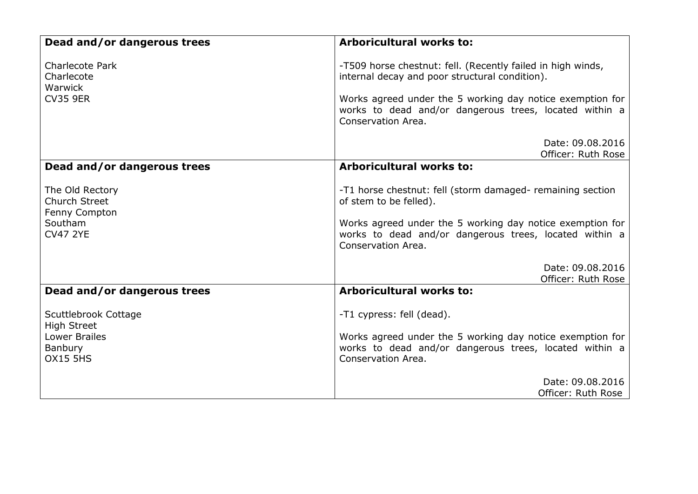| Dead and/or dangerous trees                                                                      | <b>Arboricultural works to:</b>                                                                                                                                                                                                                            |
|--------------------------------------------------------------------------------------------------|------------------------------------------------------------------------------------------------------------------------------------------------------------------------------------------------------------------------------------------------------------|
| <b>Charlecote Park</b><br>Charlecote<br>Warwick<br><b>CV35 9ER</b>                               | -T509 horse chestnut: fell. (Recently failed in high winds,<br>internal decay and poor structural condition).<br>Works agreed under the 5 working day notice exemption for<br>works to dead and/or dangerous trees, located within a<br>Conservation Area. |
|                                                                                                  | Date: 09.08.2016<br>Officer: Ruth Rose                                                                                                                                                                                                                     |
| Dead and/or dangerous trees                                                                      | <b>Arboricultural works to:</b>                                                                                                                                                                                                                            |
| The Old Rectory<br><b>Church Street</b><br>Fenny Compton<br>Southam<br><b>CV47 2YE</b>           | -T1 horse chestnut: fell (storm damaged- remaining section<br>of stem to be felled).<br>Works agreed under the 5 working day notice exemption for<br>works to dead and/or dangerous trees, located within a<br>Conservation Area.<br>Date: 09.08.2016      |
|                                                                                                  | Officer: Ruth Rose                                                                                                                                                                                                                                         |
| Dead and/or dangerous trees                                                                      | <b>Arboricultural works to:</b>                                                                                                                                                                                                                            |
| Scuttlebrook Cottage<br><b>High Street</b><br><b>Lower Brailes</b><br>Banbury<br><b>OX15 5HS</b> | -T1 cypress: fell (dead).<br>Works agreed under the 5 working day notice exemption for<br>works to dead and/or dangerous trees, located within a<br>Conservation Area.                                                                                     |
|                                                                                                  | Date: 09.08.2016<br>Officer: Ruth Rose                                                                                                                                                                                                                     |